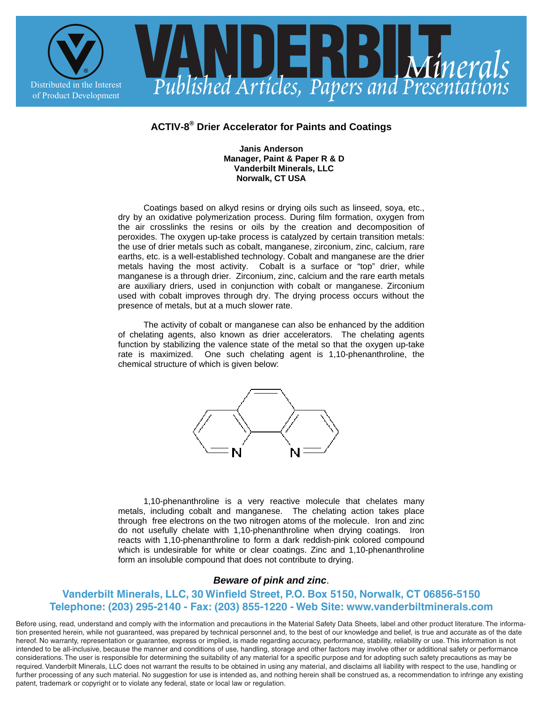

## **ACTIV-8® Drier Accelerator for Paints and Coatings**

## **Janis Anderson Manager, Paint & Paper R & D Vanderbilt Minerals, LLC Norwalk, CT USA**

 Coatings based on alkyd resins or drying oils such as linseed, soya, etc., dry by an oxidative polymerization process. During film formation, oxygen from the air crosslinks the resins or oils by the creation and decomposition of peroxides. The oxygen up-take process is catalyzed by certain transition metals: the use of drier metals such as cobalt, manganese, zirconium, zinc, calcium, rare earths, etc. is a well-established technology. Cobalt and manganese are the drier metals having the most activity. Cobalt is a surface or "top" drier, while manganese is a through drier. Zirconium, zinc, calcium and the rare earth metals are auxiliary driers, used in conjunction with cobalt or manganese. Zirconium used with cobalt improves through dry. The drying process occurs without the presence of metals, but at a much slower rate.

 The activity of cobalt or manganese can also be enhanced by the addition of chelating agents, also known as drier accelerators. The chelating agents function by stabilizing the valence state of the metal so that the oxygen up-take rate is maximized. One such chelating agent is 1,10-phenanthroline, the chemical structure of which is given below:



 1,10-phenanthroline is a very reactive molecule that chelates many metals, including cobalt and manganese. The chelating action takes place through free electrons on the two nitrogen atoms of the molecule. Iron and zinc do not usefully chelate with 1,10-phenanthroline when drying coatings. Iron reacts with 1,10-phenanthroline to form a dark reddish-pink colored compound which is undesirable for white or clear coatings. Zinc and 1,10-phenanthroline form an insoluble compound that does not contribute to drying.

## *Beware of pink and zinc*.

## **Vanderbilt Minerals, LLC, 30 Winfield Street, P.O. Box 5150, Norwalk, CT 06856-5150 Telephone: (203) 295-2140 - Fax: (203) 855-1220 - Web Site: www.vanderbiltminerals.com**

Before using, read, understand and comply with the information and precautions in the Material Safety Data Sheets, label and other product literature. The information presented herein, while not guaranteed, was prepared by technical personnel and, to the best of our knowledge and belief, is true and accurate as of the date hereof. No warranty, representation or guarantee, express or implied, is made regarding accuracy, performance, stability, reliability or use. This information is not intended to be all-inclusive, because the manner and conditions of use, handling, storage and other factors may involve other or additional safety or performance considerations. The user is responsible for determining the suitability of any material for a specific purpose and for adopting such safety precautions as may be required. Vanderbilt Minerals, LLC does not warrant the results to be obtained in using any material, and disclaims all liability with respect to the use, handling or further processing of any such material. No suggestion for use is intended as, and nothing herein shall be construed as, a recommendation to infringe any existing patent, trademark or copyright or to violate any federal, state or local law or regulation.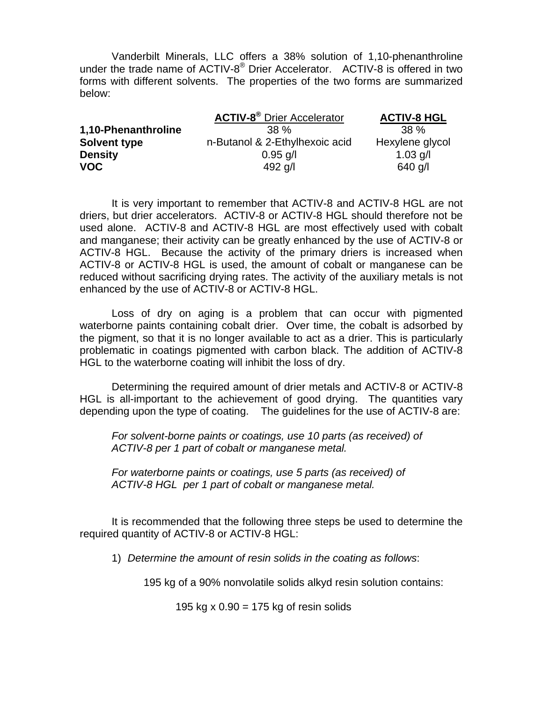Vanderbilt Minerals, LLC offers a 38% solution of 1,10-phenanthroline under the trade name of ACTIV-8 $^{\circ}$  Drier Accelerator. ACTIV-8 is offered in two forms with different solvents. The properties of the two forms are summarized below:

|                     | <b>ACTIV-8<sup>®</sup></b> Drier Accelerator | <b>ACTIV-8 HGL</b> |  |
|---------------------|----------------------------------------------|--------------------|--|
| 1,10-Phenanthroline | 38 %                                         | $38\%$             |  |
| Solvent type        | n-Butanol & 2-Ethylhexoic acid               | Hexylene glycol    |  |
| <b>Density</b>      | $0.95$ g/l                                   | $1.03$ g/l         |  |
| <b>VOC</b>          | 492 $q/l$                                    | 640 g/l            |  |

It is very important to remember that ACTIV-8 and ACTIV-8 HGL are not driers, but drier accelerators. ACTIV-8 or ACTIV-8 HGL should therefore not be used alone. ACTIV-8 and ACTIV-8 HGL are most effectively used with cobalt and manganese; their activity can be greatly enhanced by the use of ACTIV-8 or ACTIV-8 HGL. Because the activity of the primary driers is increased when ACTIV-8 or ACTIV-8 HGL is used, the amount of cobalt or manganese can be reduced without sacrificing drying rates. The activity of the auxiliary metals is not enhanced by the use of ACTIV-8 or ACTIV-8 HGL.

Loss of dry on aging is a problem that can occur with pigmented waterborne paints containing cobalt drier. Over time, the cobalt is adsorbed by the pigment, so that it is no longer available to act as a drier. This is particularly problematic in coatings pigmented with carbon black. The addition of ACTIV-8 HGL to the waterborne coating will inhibit the loss of dry.

Determining the required amount of drier metals and ACTIV-8 or ACTIV-8 HGL is all-important to the achievement of good drying. The quantities vary depending upon the type of coating. The guidelines for the use of ACTIV-8 are:

*For solvent-borne paints or coatings, use 10 parts (as received) of ACTIV-8 per 1 part of cobalt or manganese metal.* 

*For waterborne paints or coatings, use 5 parts (as received) of ACTIV-8 HGL per 1 part of cobalt or manganese metal.* 

 It is recommended that the following three steps be used to determine the required quantity of ACTIV-8 or ACTIV-8 HGL:

1) *Determine the amount of resin solids in the coating as follows*:

195 kg of a 90% nonvolatile solids alkyd resin solution contains:

195 kg x  $0.90 = 175$  kg of resin solids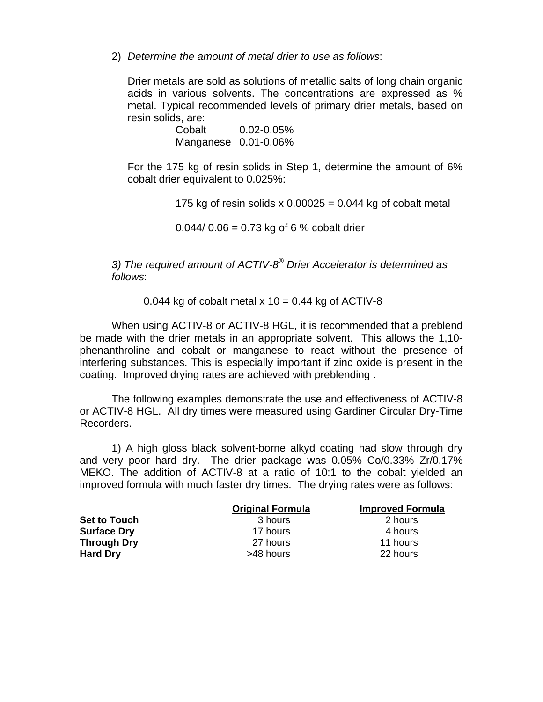2) *Determine the amount of metal drier to use as follows*:

Drier metals are sold as solutions of metallic salts of long chain organic acids in various solvents. The concentrations are expressed as % metal. Typical recommended levels of primary drier metals, based on resin solids, are:

> Cobalt 0.02-0.05% Manganese 0.01-0.06%

For the 175 kg of resin solids in Step 1, determine the amount of 6% cobalt drier equivalent to 0.025%:

175 kg of resin solids x  $0.00025 = 0.044$  kg of cobalt metal

 $0.044/0.06 = 0.73$  kg of 6 % cobalt drier

*3) The required amount of ACTIV-8® Drier Accelerator is determined as follows*:

0.044 kg of cobalt metal  $x$  10 = 0.44 kg of ACTIV-8

 When using ACTIV-8 or ACTIV-8 HGL, it is recommended that a preblend be made with the drier metals in an appropriate solvent. This allows the 1,10 phenanthroline and cobalt or manganese to react without the presence of interfering substances. This is especially important if zinc oxide is present in the coating. Improved drying rates are achieved with preblending .

The following examples demonstrate the use and effectiveness of ACTIV-8 or ACTIV-8 HGL. All dry times were measured using Gardiner Circular Dry-Time Recorders.

1) A high gloss black solvent-borne alkyd coating had slow through dry and very poor hard dry. The drier package was 0.05% Co/0.33% Zr/0.17% MEKO. The addition of ACTIV-8 at a ratio of 10:1 to the cobalt yielded an improved formula with much faster dry times. The drying rates were as follows:

|                     | <b>Original Formula</b> | <b>Improved Formula</b> |
|---------------------|-------------------------|-------------------------|
| <b>Set to Touch</b> | 3 hours                 | 2 hours                 |
| <b>Surface Dry</b>  | 17 hours                | 4 hours                 |
| <b>Through Dry</b>  | 27 hours                | 11 hours                |
| <b>Hard Dry</b>     | >48 hours               | 22 hours                |